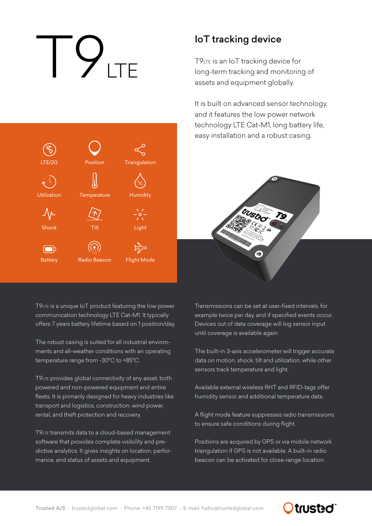# T9LTE

Position

**Triangulation** 

Humidity

Light

Flight Mode

**Temperature** 

Tilt

Radio Beacon

LTE/2G

Utilization

Shock

**Battery** 

 $\Box$ 

### IoT tracking device

T9LTE is an IoT tracking device for long-term tracking and monitoring of assets and equipment globally.

It is built on advanced sensor technology, and it features the low power network technology LTE Cat-M1, long battery life, easy installation and a robust casing.



T9LTE is a unique IoT product featuring the low power communication technology LTE Cat-M1. It typically offers 7 years battery lifetime based on 1 position/day.

The robust casing is suited for all industrial environments and all-weather conditions with an operating temperature range from -30°C to +85°C.

T9LTE provides global connectivity of any asset, both powered and non-powered equipment and entire fleets. It is primarily designed for heavy industries like transport and logistics, construction, wind power, rental, and theft protection and recovery.

T9LTE transmits data to a cloud-based management software that provides complete visibility and predictive analytics. It gives insights on location, performance, and status of assets and equipment.

Transmissions can be set at user-fixed intervals, for example twice per day, and if specified events occur. Devices out of data coverage will log sensor input until coverage is available again.

The built-in 3-axis accelerometer will trigger accurate data on motion, shock, tilt and utilization, while other sensors track temperature and light.

Available external wireless RHT and RFID-tags offer humidity sensor and additional temperature data.

A flight mode feature suppresses radio transmissions to ensure safe conditions during flight.

Positions are acquired by GPS or via mobile network triangulation if GPS is not available. A built-in radio beacon can be activated for close-range location.